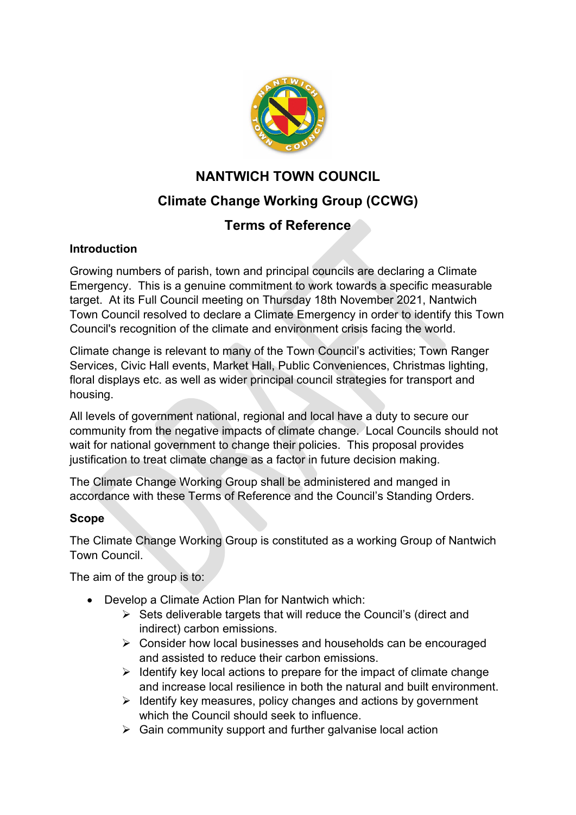

# **NANTWICH TOWN COUNCIL Climate Change Working Group (CCWG)**

# **Terms of Reference**

### **Introduction**

Growing numbers of parish, town and principal councils are declaring a Climate Emergency. This is a genuine commitment to work towards a specific measurable target. At its Full Council meeting on Thursday 18th November 2021, Nantwich Town Council resolved to declare a Climate Emergency in order to identify this Town Council's recognition of the climate and environment crisis facing the world.

Climate change is relevant to many of the Town Council's activities; Town Ranger Services, Civic Hall events, Market Hall, Public Conveniences, Christmas lighting, floral displays etc. as well as wider principal council strategies for transport and housing.

All levels of government national, regional and local have a duty to secure our community from the negative impacts of climate change. Local Councils should not wait for national government to change their policies. This proposal provides justification to treat climate change as a factor in future decision making.

The Climate Change Working Group shall be administered and manged in accordance with these Terms of Reference and the Council's Standing Orders.

## **Scope**

The Climate Change Working Group is constituted as a working Group of Nantwich Town Council.

The aim of the group is to:

- Develop a Climate Action Plan for Nantwich which:
	- $\triangleright$  Sets deliverable targets that will reduce the Council's (direct and indirect) carbon emissions.
	- Consider how local businesses and households can be encouraged and assisted to reduce their carbon emissions.
	- $\triangleright$  Identify key local actions to prepare for the impact of climate change and increase local resilience in both the natural and built environment.
	- $\triangleright$  Identify key measures, policy changes and actions by government which the Council should seek to influence.
	- $\triangleright$  Gain community support and further galvanise local action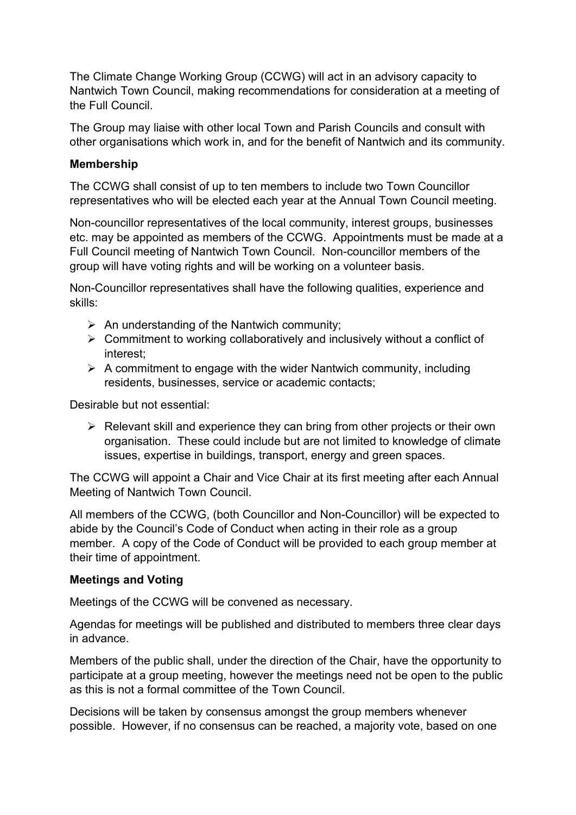The Climate Change Working Group (CCWG) will act in an advisory capacity to Nantwich Town Council, making recommendations for consideration at a meeting of the Full Council.

The Group may liaise with other local Town and Parish Councils and consult with other organisations which work in, and for the benefit of Nantwich and its community.

#### **Membership**

The CCWG shall consist of up to ten members to include two Town Councillor representatives who will be elected each year at the Annual Town Council meeting.

Non-councillor representatives of the local community, interest groups, businesses etc. may be appointed as members of the CCWG. Appointments must be made at a Full Council meeting of Nantwich Town Council. Non-councillor members of the group will have voting rights and will be working on a volunteer basis.

Non-Councillor representatives shall have the following qualities, experience and skills:

- $\triangleright$  An understanding of the Nantwich community;
- $\triangleright$  Commitment to working collaboratively and inclusively without a conflict of interest;
- $\triangleright$  A commitment to engage with the wider Nantwich community, including residents, businesses, service or academic contacts;

Desirable but not essential:

 $\triangleright$  Relevant skill and experience they can bring from other projects or their own organisation. These could include but are not limited to knowledge of climate issues, expertise in buildings, transport, energy and green spaces.

The CCWG will appoint a Chair and Vice Chair at its first meeting after each Annual Meeting of Nantwich Town Council.

All members of the CCWG, (both Councillor and Non-Councillor) will be expected to abide by the Council's Code of Conduct when acting in their role as a group member. A copy of the Code of Conduct will be provided to each group member at their time of appointment.

#### **Meetings and Voting**

Meetings of the CCWG will be convened as necessary.

Agendas for meetings will be published and distributed to members three clear days in advance.

Members of the public shall, under the direction of the Chair, have the opportunity to participate at a group meeting, however the meetings need not be open to the public as this is not a formal committee of the Town Council.

Decisions will be taken by consensus amongst the group members whenever possible. However, if no consensus can be reached, a majority vote, based on one